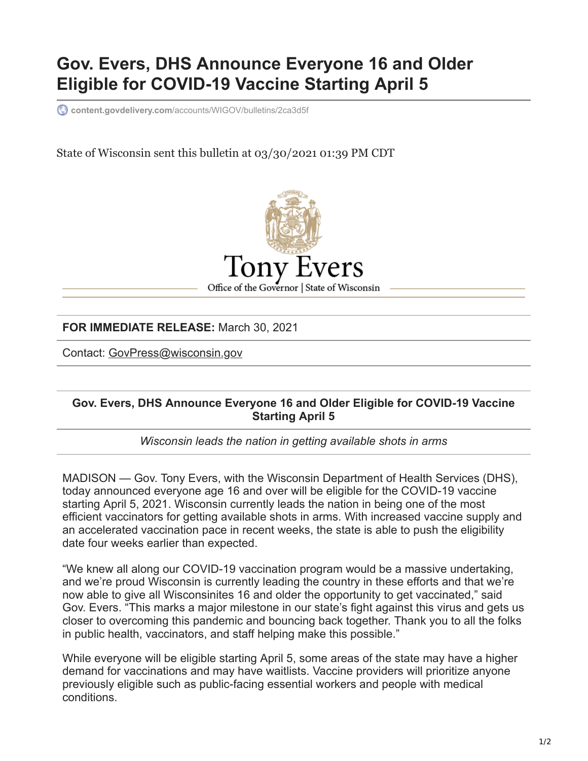## **Gov. Evers, DHS Announce Everyone 16 and Older Eligible for COVID-19 Vaccine Starting April 5**

**content.govdelivery.com**[/accounts/WIGOV/bulletins/2ca3d5f](https://content.govdelivery.com/accounts/WIGOV/bulletins/2ca3d5f)

State of Wisconsin sent this bulletin at 03/30/2021 01:39 PM CDT



**FOR IMMEDIATE RELEASE:** March 30, 2021

Contact: [GovPress@wisconsin.gov](mailto:GovPress@wisconsin.gov)

## **Gov. Evers, DHS Announce Everyone 16 and Older Eligible for COVID-19 Vaccine Starting April 5**

*Wisconsin leads the nation in getting available shots in arms*

MADISON — Gov. Tony Evers, with the Wisconsin Department of Health Services (DHS), today announced everyone age 16 and over will be eligible for the COVID-19 vaccine starting April 5, 2021. Wisconsin currently leads the nation in being one of the most efficient vaccinators for getting available shots in arms. With increased vaccine supply and an accelerated vaccination pace in recent weeks, the state is able to push the eligibility date four weeks earlier than expected.

"We knew all along our COVID-19 vaccination program would be a massive undertaking, and we're proud Wisconsin is currently leading the country in these efforts and that we're now able to give all Wisconsinites 16 and older the opportunity to get vaccinated," said Gov. Evers. "This marks a major milestone in our state's fight against this virus and gets us closer to overcoming this pandemic and bouncing back together. Thank you to all the folks in public health, vaccinators, and staff helping make this possible."

While everyone will be eligible starting April 5, some areas of the state may have a higher demand for vaccinations and may have waitlists. Vaccine providers will prioritize anyone previously eligible such as public-facing essential workers and people with medical conditions.